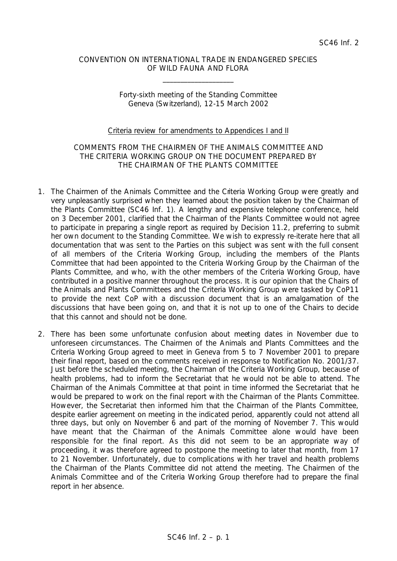## CONVENTION ON INTERNATIONAL TRADE IN ENDANGERED SPECIES OF WILD FAUNA AND FLORA

\_\_\_\_\_\_\_\_\_\_\_\_\_\_\_\_\_\_\_\_

## Forty-sixth meeting of the Standing Committee Geneva (Switzerland), 12-15 March 2002

## Criteria review for amendments to Appendices I and II

## COMMENTS FROM THE CHAIRMEN OF THE ANIMALS COMMITTEE AND THE CRITERIA WORKING GROUP ON THE DOCUMENT PREPARED BY THE CHAIRMAN OF THE PLANTS COMMITTEE

- 1. The Chairmen of the Animals Committee and the Criteria Working Group were greatly and very unpleasantly surprised when they learned about the position taken by the Chairman of the Plants Committee (SC46 Inf. 1). A lengthy and expensive telephone conference, held on 3 December 2001, clarified that the Chairman of the Plants Committee would not agree to participate in preparing a single report as required by Decision 11.2, preferring to submit her own document to the Standing Committee. We wish to expressly re-iterate here that all documentation that was sent to the Parties on this subject was sent with the full consent of all members of the Criteria Working Group, including the members of the Plants Committee that had been appointed to the Criteria Working Group by the Chairman of the Plants Committee, and who, with the other members of the Criteria Working Group, have contributed in a positive manner throughout the process. It is our opinion that the Chairs of the Animals and Plants Committees and the Criteria Working Group were tasked by CoP11 to provide the next CoP with a discussion document that is an amalgamation of the discussions that have been going on, and that it is not up to one of the Chairs to decide that this cannot and should not be done.
- 2. There has been some unfortunate confusion about meeting dates in November due to unforeseen circumstances. The Chairmen of the Animals and Plants Committees and the Criteria Working Group agreed to meet in Geneva from 5 to 7 November 2001 to prepare their final report, based on the comments received in response to Notification No. 2001/37. Just before the scheduled meeting, the Chairman of the Criteria Working Group, because of health problems, had to inform the Secretariat that he would not be able to attend. The Chairman of the Animals Committee at that point in time informed the Secretariat that he would be prepared to work on the final report with the Chairman of the Plants Committee. However, the Secretariat then informed him that the Chairman of the Plants Committee, despite earlier agreement on meeting in the indicated period, apparently could not attend all three days, but only on November 6 and part of the morning of November 7. This would have meant that the Chairman of the Animals Committee alone would have been responsible for the final report. As this did not seem to be an appropriate way of proceeding, it was therefore agreed to postpone the meeting to later that month, from 17 to 21 November. Unfortunately, due to complications with her travel and health problems the Chairman of the Plants Committee did not attend the meeting. The Chairmen of the Animals Committee and of the Criteria Working Group therefore had to prepare the final report in her absence.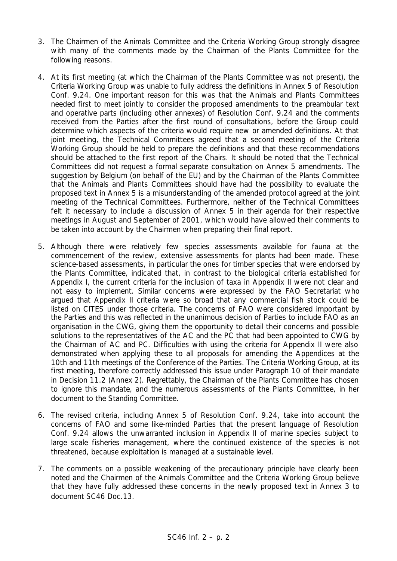- 3. The Chairmen of the Animals Committee and the Criteria Working Group strongly disagree with many of the comments made by the Chairman of the Plants Committee for the following reasons.
- 4. At its first meeting (at which the Chairman of the Plants Committee was not present), the Criteria Working Group was unable to fully address the definitions in Annex 5 of Resolution Conf. 9.24. One important reason for this was that the Animals and Plants Committees needed first to meet jointly to consider the proposed amendments to the preambular text and operative parts (including other annexes) of Resolution Conf. 9.24 and the comments received from the Parties after the first round of consultations, before the Group could determine which aspects of the criteria would require new or amended definitions. At that joint meeting, the Technical Committees agreed that a second meeting of the Criteria Working Group should be held to prepare the definitions and that these recommendations should be attached to the first report of the Chairs. It should be noted that the Technical Committees did not request a formal separate consultation on Annex 5 amendments. The suggestion by Belgium (on behalf of the EU) and by the Chairman of the Plants Committee that the Animals and Plants Committees should have had the possibility to evaluate the proposed text in Annex 5 is a misunderstanding of the amended protocol agreed at the joint meeting of the Technical Committees. Furthermore, neither of the Technical Committees felt it necessary to include a discussion of Annex 5 in their agenda for their respective meetings in August and September of 2001, which would have allowed their comments to be taken into account by the Chairmen when preparing their final report.
- 5. Although there were relatively few species assessments available for fauna at the commencement of the review, extensive assessments for plants had been made. These science-based assessments, in particular the ones for timber species that were endorsed by the Plants Committee, indicated that, in contrast to the biological criteria established for Appendix I, the current criteria for the inclusion of taxa in Appendix II were not clear and not easy to implement. Similar concerns were expressed by the FAO Secretariat who argued that Appendix II criteria were so broad that any commercial fish stock could be listed on CITES under those criteria. The concerns of FAO were considered important by the Parties and this was reflected in the unanimous decision of Parties to include FAO as an organisation in the CWG, giving them the opportunity to detail their concerns and possible solutions to the representatives of the AC and the PC that had been appointed to CWG by the Chairman of AC and PC. Difficulties with using the criteria for Appendix II were also demonstrated when applying these to all proposals for amending the Appendices at the 10th and 11th meetings of the Conference of the Parties. The Criteria Working Group, at its first meeting, therefore correctly addressed this issue under Paragraph 10 of their mandate in Decision 11.2 (Annex 2). Regrettably, the Chairman of the Plants Committee has chosen to ignore this mandate, and the numerous assessments of the Plants Committee, in her document to the Standing Committee.
- 6. The revised criteria, including Annex 5 of Resolution Conf. 9.24, take into account the concerns of FAO and some like-minded Parties that the present language of Resolution Conf. 9.24 allows the unwarranted inclusion in Appendix II of marine species subject to large scale fisheries management, where the continued existence of the species is not threatened, because exploitation is managed at a sustainable level.
- 7. The comments on a possible weakening of the precautionary principle have clearly been noted and the Chairmen of the Animals Committee and the Criteria Working Group believe that they have fully addressed these concerns in the newly proposed text in Annex 3 to document SC46 Doc.13.